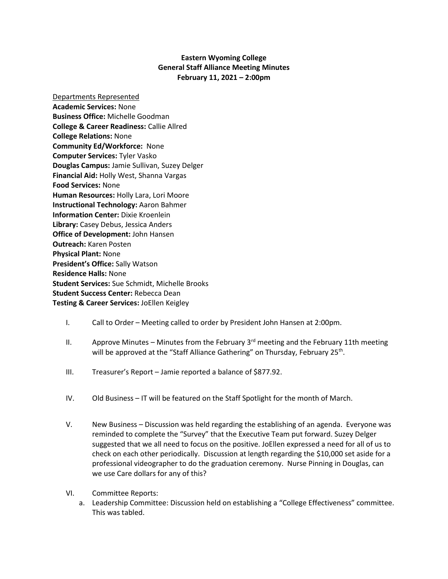## **Eastern Wyoming College General Staff Alliance Meeting Minutes February 11, 2021 – 2:00pm**

Departments Represented **Academic Services:** None **Business Office:** Michelle Goodman **College & Career Readiness:** Callie Allred **College Relations:** None **Community Ed/Workforce:** None **Computer Services:** Tyler Vasko **Douglas Campus:** Jamie Sullivan, Suzey Delger **Financial Aid:** Holly West, Shanna Vargas **Food Services:** None **Human Resources:** Holly Lara, Lori Moore **Instructional Technology:** Aaron Bahmer **Information Center:** Dixie Kroenlein **Library:** Casey Debus, Jessica Anders **Office of Development:** John Hansen **Outreach:** Karen Posten **Physical Plant:** None **President's Office:** Sally Watson **Residence Halls:** None **Student Services:** Sue Schmidt, Michelle Brooks **Student Success Center:** Rebecca Dean **Testing & Career Services:** JoEllen Keigley

## I. Call to Order – Meeting called to order by President John Hansen at 2:00pm.

- II. Approve Minutes Minutes from the February  $3<sup>rd</sup>$  meeting and the February 11th meeting will be approved at the "Staff Alliance Gathering" on Thursday, February 25<sup>th</sup>.
- III. Treasurer's Report Jamie reported a balance of \$877.92.
- IV. Old Business IT will be featured on the Staff Spotlight for the month of March.
- V. New Business Discussion was held regarding the establishing of an agenda. Everyone was reminded to complete the "Survey" that the Executive Team put forward. Suzey Delger suggested that we all need to focus on the positive. JoEllen expressed a need for all of us to check on each other periodically. Discussion at length regarding the \$10,000 set aside for a professional videographer to do the graduation ceremony. Nurse Pinning in Douglas, can we use Care dollars for any of this?
- VI. Committee Reports:
	- a. Leadership Committee: Discussion held on establishing a "College Effectiveness" committee. This was tabled.